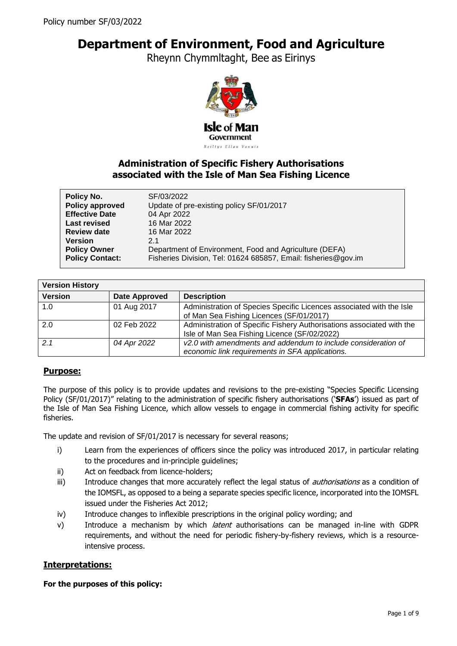# **Department of Environment, Food and Agriculture**

Rheynn Chymmltaght, Bee as Eirinys



# **Administration of Specific Fishery Authorisations associated with the Isle of Man Sea Fishing Licence**

| Policy No.<br>Policy approved | SF/03/2022<br>Update of pre-existing policy SF/01/2017         |  |
|-------------------------------|----------------------------------------------------------------|--|
| <b>Effective Date</b>         | 04 Apr 2022                                                    |  |
| <b>Last revised</b>           | 16 Mar 2022                                                    |  |
| <b>Review date</b>            | 16 Mar 2022                                                    |  |
| <b>Version</b>                | 21                                                             |  |
| <b>Policy Owner</b>           | Department of Environment, Food and Agriculture (DEFA)         |  |
| <b>Policy Contact:</b>        | Fisheries Division, Tel: 01624 685857, Email: fisheries@gov.im |  |

| <b>Version History</b> |               |                                                                       |
|------------------------|---------------|-----------------------------------------------------------------------|
| <b>Version</b>         | Date Approved | <b>Description</b>                                                    |
| 1.0                    | 01 Aug 2017   | Administration of Species Specific Licences associated with the Isle  |
|                        |               | of Man Sea Fishing Licences (SF/01/2017)                              |
| 2.0                    | 02 Feb 2022   | Administration of Specific Fishery Authorisations associated with the |
|                        |               | Isle of Man Sea Fishing Licence (SF/02/2022)                          |
| 2.1                    | 04 Apr 2022   | v2.0 with amendments and addendum to include consideration of         |
|                        |               | economic link requirements in SFA applications.                       |

# **Purpose:**

The purpose of this policy is to provide updates and revisions to the pre-existing "Species Specific Licensing Policy (SF/01/2017)" relating to the administration of specific fishery authorisations ('**SFAs**') issued as part of the Isle of Man Sea Fishing Licence, which allow vessels to engage in commercial fishing activity for specific fisheries.

The update and revision of SF/01/2017 is necessary for several reasons;

- i) Learn from the experiences of officers since the policy was introduced 2017, in particular relating to the procedures and in-principle guidelines;
- ii) Act on feedback from licence-holders;
- iii) Introduce changes that more accurately reflect the legal status of *authorisations* as a condition of the IOMSFL, as opposed to a being a separate species specific licence, incorporated into the IOMSFL issued under the Fisheries Act 2012;
- iv) Introduce changes to inflexible prescriptions in the original policy wording; and
- v) Introduce a mechanism by which *latent* authorisations can be managed in-line with GDPR requirements, and without the need for periodic fishery-by-fishery reviews, which is a resourceintensive process.

# **Interpretations:**

# **For the purposes of this policy:**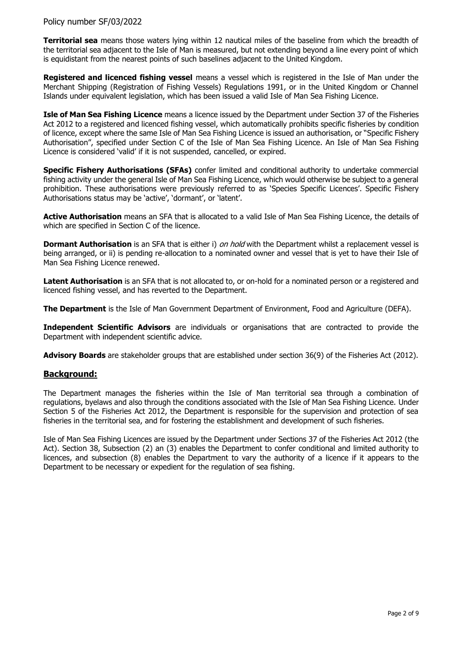**Territorial sea** means those waters lying within 12 nautical miles of the baseline from which the breadth of the territorial sea adjacent to the Isle of Man is measured, but not extending beyond a line every point of which is equidistant from the nearest points of such baselines adjacent to the United Kingdom.

**Registered and licenced fishing vessel** means a vessel which is registered in the Isle of Man under the Merchant Shipping (Registration of Fishing Vessels) Regulations 1991, or in the United Kingdom or Channel Islands under equivalent legislation, which has been issued a valid Isle of Man Sea Fishing Licence.

**Isle of Man Sea Fishing Licence** means a licence issued by the Department under Section 37 of the Fisheries Act 2012 to a registered and licenced fishing vessel, which automatically prohibits specific fisheries by condition of licence, except where the same Isle of Man Sea Fishing Licence is issued an authorisation, or "Specific Fishery Authorisation", specified under Section C of the Isle of Man Sea Fishing Licence. An Isle of Man Sea Fishing Licence is considered 'valid' if it is not suspended, cancelled, or expired.

**Specific Fishery Authorisations (SFAs)** confer limited and conditional authority to undertake commercial fishing activity under the general Isle of Man Sea Fishing Licence, which would otherwise be subject to a general prohibition. These authorisations were previously referred to as 'Species Specific Licences'. Specific Fishery Authorisations status may be 'active', 'dormant', or 'latent'.

**Active Authorisation** means an SFA that is allocated to a valid Isle of Man Sea Fishing Licence, the details of which are specified in Section C of the licence.

**Dormant Authorisation** is an SFA that is either i) on hold with the Department whilst a replacement vessel is being arranged, or ii) is pending re-allocation to a nominated owner and vessel that is yet to have their Isle of Man Sea Fishing Licence renewed.

**Latent Authorisation** is an SFA that is not allocated to, or on-hold for a nominated person or a registered and licenced fishing vessel, and has reverted to the Department.

**The Department** is the Isle of Man Government Department of Environment, Food and Agriculture (DEFA).

**Independent Scientific Advisors** are individuals or organisations that are contracted to provide the Department with independent scientific advice.

**Advisory Boards** are stakeholder groups that are established under section 36(9) of the Fisheries Act (2012).

# **Background:**

The Department manages the fisheries within the Isle of Man territorial sea through a combination of regulations, byelaws and also through the conditions associated with the Isle of Man Sea Fishing Licence. Under Section 5 of the Fisheries Act 2012, the Department is responsible for the supervision and protection of sea fisheries in the territorial sea, and for fostering the establishment and development of such fisheries.

Isle of Man Sea Fishing Licences are issued by the Department under Sections 37 of the Fisheries Act 2012 (the Act). Section 38, Subsection (2) an (3) enables the Department to confer conditional and limited authority to licences, and subsection (8) enables the Department to vary the authority of a licence if it appears to the Department to be necessary or expedient for the regulation of sea fishing.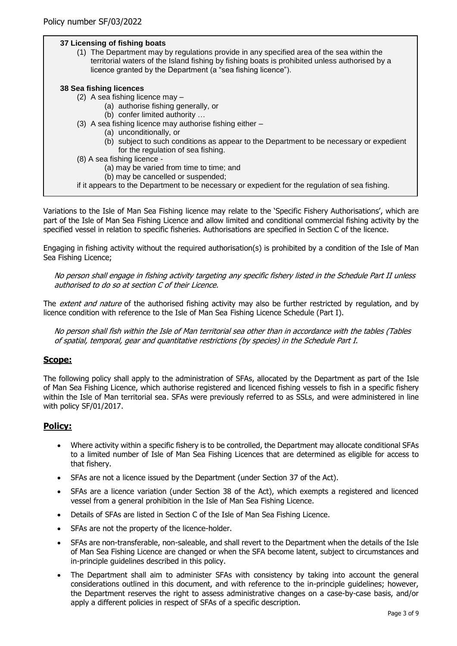# **37 Licensing of fishing boats**

(1) The Department may by regulations provide in any specified area of the sea within the territorial waters of the Island fishing by fishing boats is prohibited unless authorised by a licence granted by the Department (a "sea fishing licence").

#### **38 Sea fishing licences**

- (2) A sea fishing licence may
	- (a) authorise fishing generally, or
	- (b) confer limited authority …
- (3) A sea fishing licence may authorise fishing either
	- (a) unconditionally, or
	- (b) subject to such conditions as appear to the Department to be necessary or expedient for the regulation of sea fishing.
- (8) A sea fishing licence
	- (a) may be varied from time to time; and
	- (b) may be cancelled or suspended;

Variations to the Isle of Man Sea Fishing licence may relate to the 'Specific Fishery Authorisations', which are part of the Isle of Man Sea Fishing Licence and allow limited and conditional commercial fishing activity by the specified vessel in relation to specific fisheries. Authorisations are specified in Section C of the licence.

Engaging in fishing activity without the required authorisation(s) is prohibited by a condition of the Isle of Man Sea Fishing Licence;

No person shall engage in fishing activity targeting any specific fishery listed in the Schedule Part II unless authorised to do so at section C of their Licence.

The extent and nature of the authorised fishing activity may also be further restricted by regulation, and by licence condition with reference to the Isle of Man Sea Fishing Licence Schedule (Part I).

No person shall fish within the Isle of Man territorial sea other than in accordance with the tables (Tables of spatial, temporal, gear and quantitative restrictions (by species) in the Schedule Part I.

# **Scope:**

The following policy shall apply to the administration of SFAs, allocated by the Department as part of the Isle of Man Sea Fishing Licence, which authorise registered and licenced fishing vessels to fish in a specific fishery within the Isle of Man territorial sea. SFAs were previously referred to as SSLs, and were administered in line with policy SF/01/2017.

# **Policy:**

- Where activity within a specific fishery is to be controlled, the Department may allocate conditional SFAs to a limited number of Isle of Man Sea Fishing Licences that are determined as eligible for access to that fishery.
- SFAs are not a licence issued by the Department (under Section 37 of the Act).
- SFAs are a licence variation (under Section 38 of the Act), which exempts a registered and licenced vessel from a general prohibition in the Isle of Man Sea Fishing Licence.
- Details of SFAs are listed in Section C of the Isle of Man Sea Fishing Licence.
- SFAs are not the property of the licence-holder.
- SFAs are non-transferable, non-saleable, and shall revert to the Department when the details of the Isle of Man Sea Fishing Licence are changed or when the SFA become latent, subject to circumstances and in-principle guidelines described in this policy.
- The Department shall aim to administer SFAs with consistency by taking into account the general considerations outlined in this document, and with reference to the in-principle guidelines; however, the Department reserves the right to assess administrative changes on a case-by-case basis, and/or apply a different policies in respect of SFAs of a specific description.

if it appears to the Department to be necessary or expedient for the regulation of sea fishing.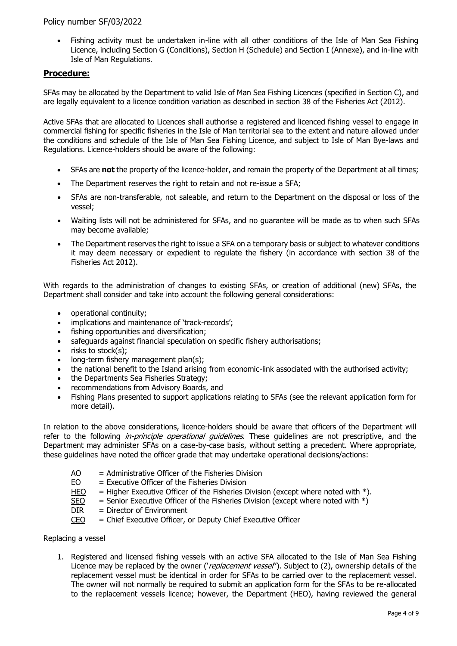Fishing activity must be undertaken in-line with all other conditions of the Isle of Man Sea Fishing Licence, including Section G (Conditions), Section H (Schedule) and Section I (Annexe), and in-line with Isle of Man Regulations.

# **Procedure:**

SFAs may be allocated by the Department to valid Isle of Man Sea Fishing Licences (specified in Section C), and are legally equivalent to a licence condition variation as described in section 38 of the Fisheries Act (2012).

Active SFAs that are allocated to Licences shall authorise a registered and licenced fishing vessel to engage in commercial fishing for specific fisheries in the Isle of Man territorial sea to the extent and nature allowed under the conditions and schedule of the Isle of Man Sea Fishing Licence, and subject to Isle of Man Bye-laws and Regulations. Licence-holders should be aware of the following:

- SFAs are **not** the property of the licence-holder, and remain the property of the Department at all times;
- The Department reserves the right to retain and not re-issue a SFA;
- SFAs are non-transferable, not saleable, and return to the Department on the disposal or loss of the vessel;
- Waiting lists will not be administered for SFAs, and no guarantee will be made as to when such SFAs may become available;
- The Department reserves the right to issue a SFA on a temporary basis or subject to whatever conditions it may deem necessary or expedient to regulate the fishery (in accordance with section 38 of the Fisheries Act 2012).

With regards to the administration of changes to existing SFAs, or creation of additional (new) SFAs, the Department shall consider and take into account the following general considerations:

- operational continuity;
- implications and maintenance of 'track-records';
- fishing opportunities and diversification;
- safeguards against financial speculation on specific fishery authorisations;
- $\bullet$  risks to stock(s):
- long-term fishery management plan(s):
- the national benefit to the Island arising from economic-link associated with the authorised activity;
- the Departments Sea Fisheries Strategy;
- recommendations from Advisory Boards, and
- Fishing Plans presented to support applications relating to SFAs (see the relevant application form for more detail).

In relation to the above considerations, licence-holders should be aware that officers of the Department will refer to the following *in-principle operational quidelines*. These guidelines are not prescriptive, and the Department may administer SFAs on a case-by-case basis, without setting a precedent. Where appropriate, these guidelines have noted the officer grade that may undertake operational decisions/actions:

- AO = Administrative Officer of the Fisheries Division
- $EO = Executive$  Officer of the Fisheries Division
- HEO  $=$  Higher Executive Officer of the Fisheries Division (except where noted with  $*$ ).
- $SEO$  = Senior Executive Officer of the Fisheries Division (except where noted with  $*)$
- $DIR = Director of Environment$
- $CEO =$  Chief Executive Officer, or Deputy Chief Executive Officer

#### Replacing a vessel

1. Registered and licensed fishing vessels with an active SFA allocated to the Isle of Man Sea Fishing Licence may be replaced by the owner ('replacement vessel'). Subject to (2), ownership details of the replacement vessel must be identical in order for SFAs to be carried over to the replacement vessel. The owner will not normally be required to submit an application form for the SFAs to be re-allocated to the replacement vessels licence; however, the Department (HEO), having reviewed the general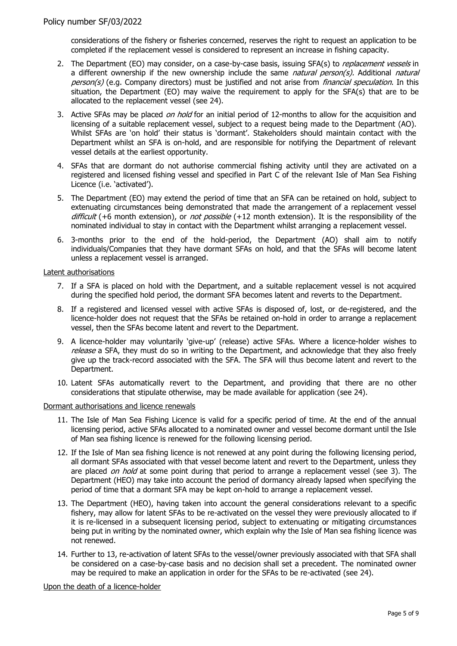considerations of the fishery or fisheries concerned, reserves the right to request an application to be completed if the replacement vessel is considered to represent an increase in fishing capacity.

- 2. The Department (EO) may consider, on a case-by-case basis, issuing SFA(s) to *replacement vessels* in a different ownership if the new ownership include the same *natural person(s)*. Additional *natural* person(s) (e.g. Company directors) must be justified and not arise from financial speculation. In this situation, the Department (EO) may waive the requirement to apply for the SFA(s) that are to be allocated to the replacement vessel (see 24).
- 3. Active SFAs may be placed *on hold* for an initial period of 12-months to allow for the acquisition and licensing of a suitable replacement vessel, subject to a request being made to the Department (AO). Whilst SFAs are 'on hold' their status is 'dormant'. Stakeholders should maintain contact with the Department whilst an SFA is on-hold, and are responsible for notifying the Department of relevant vessel details at the earliest opportunity.
- 4. SFAs that are dormant do not authorise commercial fishing activity until they are activated on a registered and licensed fishing vessel and specified in Part C of the relevant Isle of Man Sea Fishing Licence (i.e. 'activated').
- 5. The Department (EO) may extend the period of time that an SFA can be retained on hold, subject to extenuating circumstances being demonstrated that made the arrangement of a replacement vessel difficult  $(+6$  month extension), or *not possible*  $(+12$  month extension). It is the responsibility of the nominated individual to stay in contact with the Department whilst arranging a replacement vessel.
- 6. 3-months prior to the end of the hold-period, the Department (AO) shall aim to notify individuals/Companies that they have dormant SFAs on hold, and that the SFAs will become latent unless a replacement vessel is arranged.

#### Latent authorisations

- 7. If a SFA is placed on hold with the Department, and a suitable replacement vessel is not acquired during the specified hold period, the dormant SFA becomes latent and reverts to the Department.
- 8. If a registered and licensed vessel with active SFAs is disposed of, lost, or de-registered, and the licence-holder does not request that the SFAs be retained on-hold in order to arrange a replacement vessel, then the SFAs become latent and revert to the Department.
- 9. A licence-holder may voluntarily 'give-up' (release) active SFAs. Where a licence-holder wishes to release a SFA, they must do so in writing to the Department, and acknowledge that they also freely give up the track-record associated with the SFA. The SFA will thus become latent and revert to the Department.
- 10. Latent SFAs automatically revert to the Department, and providing that there are no other considerations that stipulate otherwise, may be made available for application (see 24).

#### Dormant authorisations and licence renewals

- 11. The Isle of Man Sea Fishing Licence is valid for a specific period of time. At the end of the annual licensing period, active SFAs allocated to a nominated owner and vessel become dormant until the Isle of Man sea fishing licence is renewed for the following licensing period.
- 12. If the Isle of Man sea fishing licence is not renewed at any point during the following licensing period, all dormant SFAs associated with that vessel become latent and revert to the Department, unless they are placed on hold at some point during that period to arrange a replacement vessel (see 3). The Department (HEO) may take into account the period of dormancy already lapsed when specifying the period of time that a dormant SFA may be kept on-hold to arrange a replacement vessel.
- 13. The Department (HEO), having taken into account the general considerations relevant to a specific fishery, may allow for latent SFAs to be re-activated on the vessel they were previously allocated to if it is re-licensed in a subsequent licensing period, subject to extenuating or mitigating circumstances being put in writing by the nominated owner, which explain why the Isle of Man sea fishing licence was not renewed.
- 14. Further to 13, re-activation of latent SFAs to the vessel/owner previously associated with that SFA shall be considered on a case-by-case basis and no decision shall set a precedent. The nominated owner may be required to make an application in order for the SFAs to be re-activated (see 24).

Upon the death of a licence-holder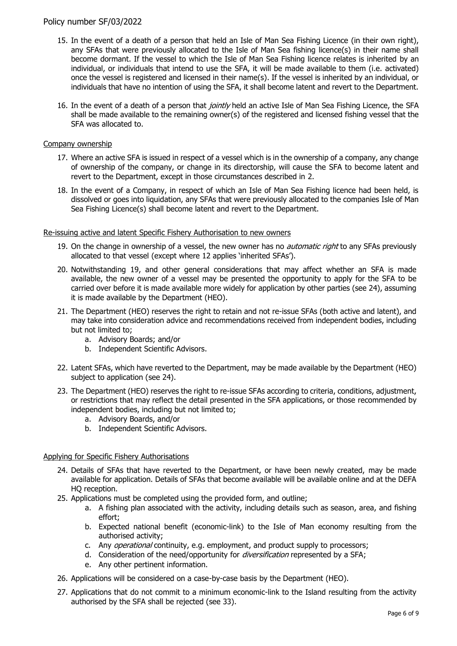## Policy number SF/03/2022

- 15. In the event of a death of a person that held an Isle of Man Sea Fishing Licence (in their own right), any SFAs that were previously allocated to the Isle of Man Sea fishing licence(s) in their name shall become dormant. If the vessel to which the Isle of Man Sea Fishing licence relates is inherited by an individual, or individuals that intend to use the SFA, it will be made available to them (i.e. activated) once the vessel is registered and licensed in their name(s). If the vessel is inherited by an individual, or individuals that have no intention of using the SFA, it shall become latent and revert to the Department.
- 16. In the event of a death of a person that *jointly* held an active Isle of Man Sea Fishing Licence, the SFA shall be made available to the remaining owner(s) of the registered and licensed fishing vessel that the SFA was allocated to.

#### Company ownership

- 17. Where an active SFA is issued in respect of a vessel which is in the ownership of a company, any change of ownership of the company, or change in its directorship, will cause the SFA to become latent and revert to the Department, except in those circumstances described in 2.
- 18. In the event of a Company, in respect of which an Isle of Man Sea Fishing licence had been held, is dissolved or goes into liquidation, any SFAs that were previously allocated to the companies Isle of Man Sea Fishing Licence(s) shall become latent and revert to the Department.

#### Re-issuing active and latent Specific Fishery Authorisation to new owners

- 19. On the change in ownership of a vessel, the new owner has no *automatic right* to any SFAs previously allocated to that vessel (except where 12 applies 'inherited SFAs').
- 20. Notwithstanding 19, and other general considerations that may affect whether an SFA is made available, the new owner of a vessel may be presented the opportunity to apply for the SFA to be carried over before it is made available more widely for application by other parties (see 24), assuming it is made available by the Department (HEO).
- 21. The Department (HEO) reserves the right to retain and not re-issue SFAs (both active and latent), and may take into consideration advice and recommendations received from independent bodies, including but not limited to;
	- a. Advisory Boards; and/or
	- b. Independent Scientific Advisors.
- 22. Latent SFAs, which have reverted to the Department, may be made available by the Department (HEO) subject to application (see 24).
- 23. The Department (HEO) reserves the right to re-issue SFAs according to criteria, conditions, adjustment, or restrictions that may reflect the detail presented in the SFA applications, or those recommended by independent bodies, including but not limited to;
	- a. Advisory Boards, and/or
	- b. Independent Scientific Advisors.

#### Applying for Specific Fishery Authorisations

- 24. Details of SFAs that have reverted to the Department, or have been newly created, may be made available for application. Details of SFAs that become available will be available online and at the DEFA HQ reception.
- 25. Applications must be completed using the provided form, and outline;
	- a. A fishing plan associated with the activity, including details such as season, area, and fishing effort;
	- b. Expected national benefit (economic-link) to the Isle of Man economy resulting from the authorised activity;
	- c. Any *operational* continuity, e.g. employment, and product supply to processors;
	- d. Consideration of the need/opportunity for *diversification* represented by a SFA;
	- e. Any other pertinent information.
- 26. Applications will be considered on a case-by-case basis by the Department (HEO).
- 27. Applications that do not commit to a minimum economic-link to the Island resulting from the activity authorised by the SFA shall be rejected (see 33).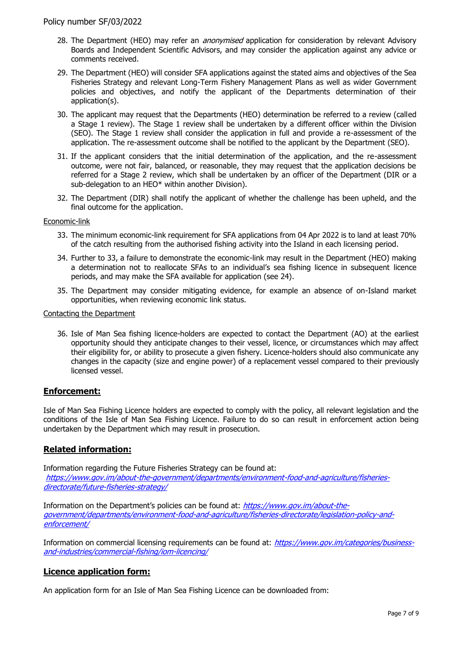- 28. The Department (HEO) may refer an *anonymised* application for consideration by relevant Advisory Boards and Independent Scientific Advisors, and may consider the application against any advice or comments received.
- 29. The Department (HEO) will consider SFA applications against the stated aims and objectives of the Sea Fisheries Strategy and relevant Long-Term Fishery Management Plans as well as wider Government policies and objectives, and notify the applicant of the Departments determination of their application(s).
- 30. The applicant may request that the Departments (HEO) determination be referred to a review (called a Stage 1 review). The Stage 1 review shall be undertaken by a different officer within the Division (SEO). The Stage 1 review shall consider the application in full and provide a re-assessment of the application. The re-assessment outcome shall be notified to the applicant by the Department (SEO).
- 31. If the applicant considers that the initial determination of the application, and the re-assessment outcome, were not fair, balanced, or reasonable, they may request that the application decisions be referred for a Stage 2 review, which shall be undertaken by an officer of the Department (DIR or a sub-delegation to an HEO\* within another Division).
- 32. The Department (DIR) shall notify the applicant of whether the challenge has been upheld, and the final outcome for the application.

#### Economic-link

- 33. The minimum economic-link requirement for SFA applications from 04 Apr 2022 is to land at least 70% of the catch resulting from the authorised fishing activity into the Island in each licensing period.
- 34. Further to 33, a failure to demonstrate the economic-link may result in the Department (HEO) making a determination not to reallocate SFAs to an individual's sea fishing licence in subsequent licence periods, and may make the SFA available for application (see 24).
- 35. The Department may consider mitigating evidence, for example an absence of on-Island market opportunities, when reviewing economic link status.

#### Contacting the Department

36. Isle of Man Sea fishing licence-holders are expected to contact the Department (AO) at the earliest opportunity should they anticipate changes to their vessel, licence, or circumstances which may affect their eligibility for, or ability to prosecute a given fishery. Licence-holders should also communicate any changes in the capacity (size and engine power) of a replacement vessel compared to their previously licensed vessel.

#### **Enforcement:**

Isle of Man Sea Fishing Licence holders are expected to comply with the policy, all relevant legislation and the conditions of the Isle of Man Sea Fishing Licence. Failure to do so can result in enforcement action being undertaken by the Department which may result in prosecution.

# **Related information:**

Information regarding the Future Fisheries Strategy can be found at: [https://www.gov.im/about-the-government/departments/environment-food-and-agriculture/fisheries](https://www.gov.im/about-the-government/departments/environment-food-and-agriculture/fisheries-directorate/future-fisheries-strategy/)[directorate/future-fisheries-strategy/](https://www.gov.im/about-the-government/departments/environment-food-and-agriculture/fisheries-directorate/future-fisheries-strategy/)

Information on the Department's policies can be found at: [https://www.gov.im/about-the](https://www.gov.im/about-the-government/departments/environment-food-and-agriculture/fisheries-directorate/legislation-policy-and-enforcement/)[government/departments/environment-food-and-agriculture/fisheries-directorate/legislation-policy-and](https://www.gov.im/about-the-government/departments/environment-food-and-agriculture/fisheries-directorate/legislation-policy-and-enforcement/)[enforcement/](https://www.gov.im/about-the-government/departments/environment-food-and-agriculture/fisheries-directorate/legislation-policy-and-enforcement/)

Information on commercial licensing requirements can be found at: [https://www.gov.im/categories/business](https://www.gov.im/categories/business-and-industries/commercial-fishing/iom-licencing/)[and-industries/commercial-fishing/iom-licencing/](https://www.gov.im/categories/business-and-industries/commercial-fishing/iom-licencing/)

# **Licence application form:**

An application form for an Isle of Man Sea Fishing Licence can be downloaded from: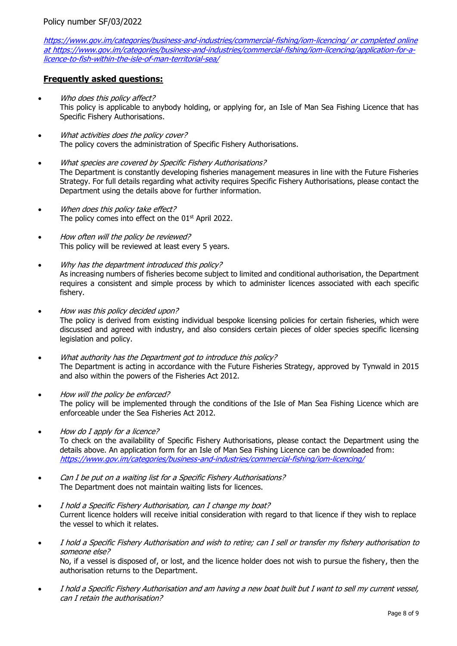<https://www.gov.im/categories/business-and-industries/commercial-fishing/iom-licencing/> or completed online at https://www.gov.im/categories/business-and-industries/commercial-fishing/iom-licencing/application-for-alicence-to-fish-within-the-isle-of-man-territorial-sea/

# **Frequently asked questions:**

- Who does this policy affect? This policy is applicable to anybody holding, or applying for, an Isle of Man Sea Fishing Licence that has Specific Fishery Authorisations.
- What activities does the policy cover? The policy covers the administration of Specific Fishery Authorisations.
- What species are covered by Specific Fishery Authorisations? The Department is constantly developing fisheries management measures in line with the Future Fisheries Strategy. For full details regarding what activity requires Specific Fishery Authorisations, please contact the Department using the details above for further information.
- When does this policy take effect? The policy comes into effect on the 01<sup>st</sup> April 2022.
- How often will the policy be reviewed? This policy will be reviewed at least every 5 years.
- Why has the department introduced this policy? As increasing numbers of fisheries become subject to limited and conditional authorisation, the Department requires a consistent and simple process by which to administer licences associated with each specific fishery.
- How was this policy decided upon? The policy is derived from existing individual bespoke licensing policies for certain fisheries, which were discussed and agreed with industry, and also considers certain pieces of older species specific licensing legislation and policy.
- What authority has the Department got to introduce this policy? The Department is acting in accordance with the Future Fisheries Strategy, approved by Tynwald in 2015 and also within the powers of the Fisheries Act 2012.
- How will the policy be enforced? The policy will be implemented through the conditions of the Isle of Man Sea Fishing Licence which are enforceable under the Sea Fisheries Act 2012.
- How do I apply for a licence? To check on the availability of Specific Fishery Authorisations, please contact the Department using the details above. An application form for an Isle of Man Sea Fishing Licence can be downloaded from: <https://www.gov.im/categories/business-and-industries/commercial-fishing/iom-licencing/>
- Can I be put on a waiting list for a Specific Fishery Authorisations? The Department does not maintain waiting lists for licences.
- I hold a Specific Fishery Authorisation, can I change my boat? Current licence holders will receive initial consideration with regard to that licence if they wish to replace the vessel to which it relates.
- I hold a Specific Fishery Authorisation and wish to retire; can I sell or transfer my fishery authorisation to someone else? No, if a vessel is disposed of, or lost, and the licence holder does not wish to pursue the fishery, then the authorisation returns to the Department.
- I hold a Specific Fishery Authorisation and am having a new boat built but I want to sell my current vessel, can I retain the authorisation?